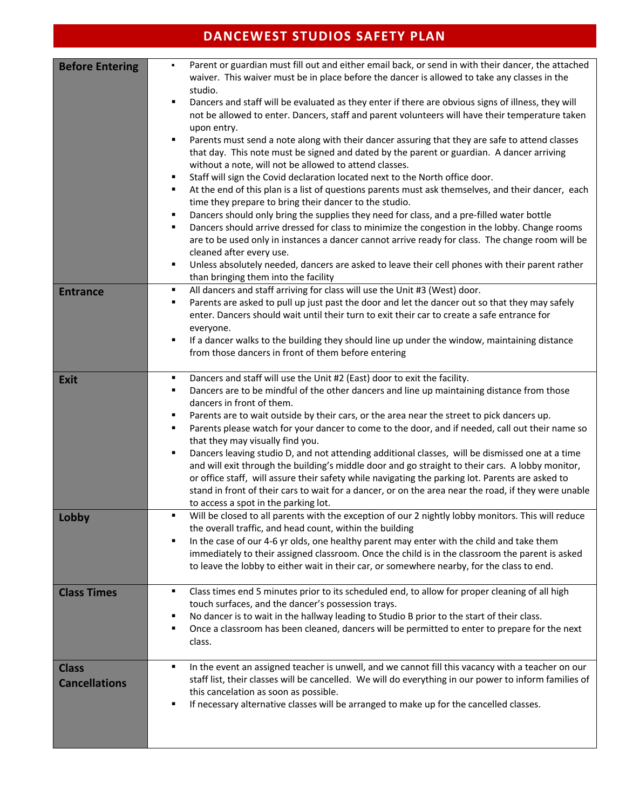| <b>DANCEWEST STUDIOS SAFETY PLAN</b> |                                                                                                                                                                                                                                                                                                                                                                                                                                                                                                                                                                                                                                                                                                                                                                                                                                                                                                                                                                                                                                                                                                                                                                                                                                                                                                                                                                                                                                                                              |  |  |  |
|--------------------------------------|------------------------------------------------------------------------------------------------------------------------------------------------------------------------------------------------------------------------------------------------------------------------------------------------------------------------------------------------------------------------------------------------------------------------------------------------------------------------------------------------------------------------------------------------------------------------------------------------------------------------------------------------------------------------------------------------------------------------------------------------------------------------------------------------------------------------------------------------------------------------------------------------------------------------------------------------------------------------------------------------------------------------------------------------------------------------------------------------------------------------------------------------------------------------------------------------------------------------------------------------------------------------------------------------------------------------------------------------------------------------------------------------------------------------------------------------------------------------------|--|--|--|
| <b>Before Entering</b>               | Parent or guardian must fill out and either email back, or send in with their dancer, the attached<br>٠<br>waiver. This waiver must be in place before the dancer is allowed to take any classes in the<br>studio.<br>$\blacksquare$<br>Dancers and staff will be evaluated as they enter if there are obvious signs of illness, they will<br>not be allowed to enter. Dancers, staff and parent volunteers will have their temperature taken<br>upon entry.<br>Parents must send a note along with their dancer assuring that they are safe to attend classes<br>٠<br>that day. This note must be signed and dated by the parent or guardian. A dancer arriving<br>without a note, will not be allowed to attend classes.<br>Staff will sign the Covid declaration located next to the North office door.<br>п<br>At the end of this plan is a list of questions parents must ask themselves, and their dancer, each<br>٠<br>time they prepare to bring their dancer to the studio.<br>Dancers should only bring the supplies they need for class, and a pre-filled water bottle<br>п<br>Dancers should arrive dressed for class to minimize the congestion in the lobby. Change rooms<br>٠<br>are to be used only in instances a dancer cannot arrive ready for class. The change room will be<br>cleaned after every use.<br>Unless absolutely needed, dancers are asked to leave their cell phones with their parent rather<br>٠<br>than bringing them into the facility |  |  |  |
| <b>Entrance</b>                      | All dancers and staff arriving for class will use the Unit #3 (West) door.<br>٠<br>Parents are asked to pull up just past the door and let the dancer out so that they may safely<br>п<br>enter. Dancers should wait until their turn to exit their car to create a safe entrance for<br>everyone.<br>If a dancer walks to the building they should line up under the window, maintaining distance<br>٠<br>from those dancers in front of them before entering                                                                                                                                                                                                                                                                                                                                                                                                                                                                                                                                                                                                                                                                                                                                                                                                                                                                                                                                                                                                               |  |  |  |
| <b>Exit</b>                          | Dancers and staff will use the Unit #2 (East) door to exit the facility.<br>٠<br>Dancers are to be mindful of the other dancers and line up maintaining distance from those<br>٠<br>dancers in front of them.<br>Parents are to wait outside by their cars, or the area near the street to pick dancers up.<br>٠<br>Parents please watch for your dancer to come to the door, and if needed, call out their name so<br>٠<br>that they may visually find you.<br>Dancers leaving studio D, and not attending additional classes, will be dismissed one at a time<br>٠<br>and will exit through the building's middle door and go straight to their cars. A lobby monitor,<br>or office staff, will assure their safety while navigating the parking lot. Parents are asked to<br>stand in front of their cars to wait for a dancer, or on the area near the road, if they were unable<br>to access a spot in the parking lot.                                                                                                                                                                                                                                                                                                                                                                                                                                                                                                                                                 |  |  |  |
| Lobby                                | Will be closed to all parents with the exception of our 2 nightly lobby monitors. This will reduce<br>٠<br>the overall traffic, and head count, within the building<br>In the case of our 4-6 yr olds, one healthy parent may enter with the child and take them<br>٠<br>immediately to their assigned classroom. Once the child is in the classroom the parent is asked<br>to leave the lobby to either wait in their car, or somewhere nearby, for the class to end.                                                                                                                                                                                                                                                                                                                                                                                                                                                                                                                                                                                                                                                                                                                                                                                                                                                                                                                                                                                                       |  |  |  |
| <b>Class Times</b>                   | Class times end 5 minutes prior to its scheduled end, to allow for proper cleaning of all high<br>٠<br>touch surfaces, and the dancer's possession trays.<br>No dancer is to wait in the hallway leading to Studio B prior to the start of their class.<br>٠<br>Once a classroom has been cleaned, dancers will be permitted to enter to prepare for the next<br>٠<br>class.                                                                                                                                                                                                                                                                                                                                                                                                                                                                                                                                                                                                                                                                                                                                                                                                                                                                                                                                                                                                                                                                                                 |  |  |  |
| <b>Class</b><br><b>Cancellations</b> | In the event an assigned teacher is unwell, and we cannot fill this vacancy with a teacher on our<br>٠<br>staff list, their classes will be cancelled. We will do everything in our power to inform families of<br>this cancelation as soon as possible.<br>If necessary alternative classes will be arranged to make up for the cancelled classes.<br>٠                                                                                                                                                                                                                                                                                                                                                                                                                                                                                                                                                                                                                                                                                                                                                                                                                                                                                                                                                                                                                                                                                                                     |  |  |  |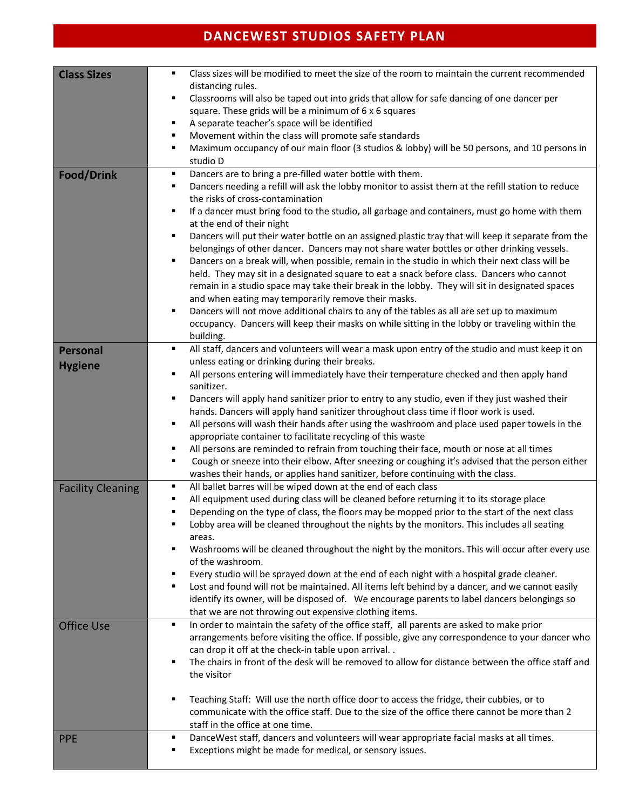## **DANCEWEST STUDIOS SAFETY PLAN**

| <b>Class Sizes</b>                | Class sizes will be modified to meet the size of the room to maintain the current recommended<br>$\blacksquare$<br>distancing rules.<br>Classrooms will also be taped out into grids that allow for safe dancing of one dancer per<br>в<br>square. These grids will be a minimum of 6 x 6 squares<br>A separate teacher's space will be identified<br>в<br>Movement within the class will promote safe standards<br>Е<br>Maximum occupancy of our main floor (3 studios & lobby) will be 50 persons, and 10 persons in<br>$\blacksquare$<br>studio D                                                                                                                                                                                                                                                                                                                                                                                                                                                                                                                                                                                     |
|-----------------------------------|------------------------------------------------------------------------------------------------------------------------------------------------------------------------------------------------------------------------------------------------------------------------------------------------------------------------------------------------------------------------------------------------------------------------------------------------------------------------------------------------------------------------------------------------------------------------------------------------------------------------------------------------------------------------------------------------------------------------------------------------------------------------------------------------------------------------------------------------------------------------------------------------------------------------------------------------------------------------------------------------------------------------------------------------------------------------------------------------------------------------------------------|
| <b>Food/Drink</b>                 | Dancers are to bring a pre-filled water bottle with them.<br>٠<br>Dancers needing a refill will ask the lobby monitor to assist them at the refill station to reduce<br>٠<br>the risks of cross-contamination<br>If a dancer must bring food to the studio, all garbage and containers, must go home with them<br>п<br>at the end of their night<br>Dancers will put their water bottle on an assigned plastic tray that will keep it separate from the<br>٠<br>belongings of other dancer. Dancers may not share water bottles or other drinking vessels.<br>Dancers on a break will, when possible, remain in the studio in which their next class will be<br>٠<br>held. They may sit in a designated square to eat a snack before class. Dancers who cannot<br>remain in a studio space may take their break in the lobby. They will sit in designated spaces<br>and when eating may temporarily remove their masks.<br>Dancers will not move additional chairs to any of the tables as all are set up to maximum<br>Е<br>occupancy. Dancers will keep their masks on while sitting in the lobby or traveling within the<br>building. |
| <b>Personal</b><br><b>Hygiene</b> | All staff, dancers and volunteers will wear a mask upon entry of the studio and must keep it on<br>٠<br>unless eating or drinking during their breaks.<br>All persons entering will immediately have their temperature checked and then apply hand<br>в<br>sanitizer.<br>Dancers will apply hand sanitizer prior to entry to any studio, even if they just washed their<br>п<br>hands. Dancers will apply hand sanitizer throughout class time if floor work is used.<br>All persons will wash their hands after using the washroom and place used paper towels in the<br>٠<br>appropriate container to facilitate recycling of this waste<br>All persons are reminded to refrain from touching their face, mouth or nose at all times<br>п<br>Cough or sneeze into their elbow. After sneezing or coughing it's advised that the person either<br>٠<br>washes their hands, or applies hand sanitizer, before continuing with the class.                                                                                                                                                                                                 |
| <b>Facility Cleaning</b>          | All ballet barres will be wiped down at the end of each class<br>٠<br>All equipment used during class will be cleaned before returning it to its storage place<br>٠<br>Depending on the type of class, the floors may be mopped prior to the start of the next class<br>Е<br>Lobby area will be cleaned throughout the nights by the monitors. This includes all seating<br>areas.<br>Washrooms will be cleaned throughout the night by the monitors. This will occur after every use<br>٠<br>of the washroom.<br>Every studio will be sprayed down at the end of each night with a hospital grade cleaner.<br>٠<br>Lost and found will not be maintained. All items left behind by a dancer, and we cannot easily<br>٠<br>identify its owner, will be disposed of. We encourage parents to label dancers belongings so<br>that we are not throwing out expensive clothing items.                                                                                                                                                                                                                                                        |
| <b>Office Use</b>                 | In order to maintain the safety of the office staff, all parents are asked to make prior<br>٠<br>arrangements before visiting the office. If possible, give any correspondence to your dancer who<br>can drop it off at the check-in table upon arrival<br>The chairs in front of the desk will be removed to allow for distance between the office staff and<br>в<br>the visitor<br>Teaching Staff: Will use the north office door to access the fridge, their cubbies, or to<br>Е<br>communicate with the office staff. Due to the size of the office there cannot be more than 2<br>staff in the office at one time.                                                                                                                                                                                                                                                                                                                                                                                                                                                                                                                  |
| <b>PPE</b>                        | DanceWest staff, dancers and volunteers will wear appropriate facial masks at all times.<br>٠<br>Exceptions might be made for medical, or sensory issues.<br>٠                                                                                                                                                                                                                                                                                                                                                                                                                                                                                                                                                                                                                                                                                                                                                                                                                                                                                                                                                                           |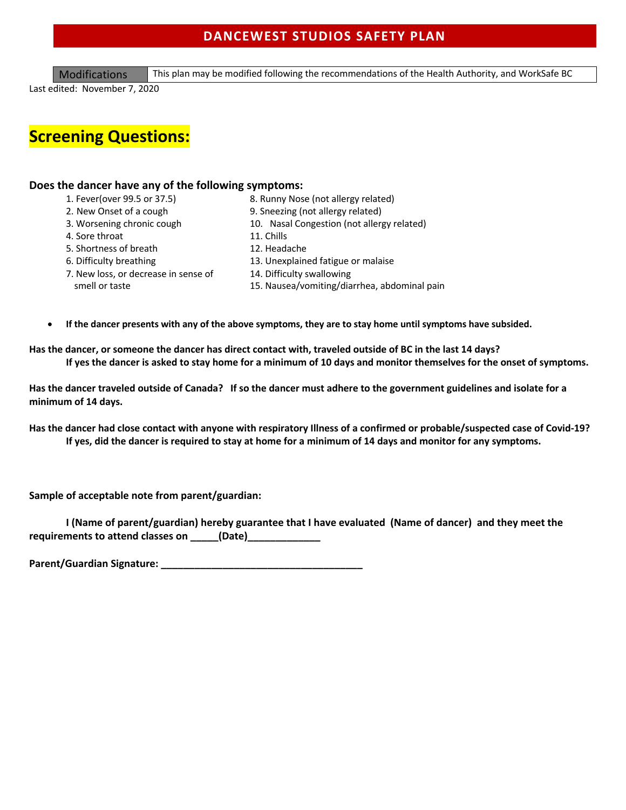## **DANCEWEST STUDIOS SAFETY PLAN**

Modifications This plan may be modified following the recommendations of the Health Authority, and WorkSafe BC

Last edited: November 7, 2020

# **Screening Questions:**

#### **Does the dancer have any of the following symptoms:**

- 
- 1. Fever(over 99.5 or 37.5) 8. Runny Nose (not allergy related)
- 2. New Onset of a cough 9. Sneezing (not allergy related)
- 3. Worsening chronic cough 10. Nasal Congestion (not allergy related)
- 4. Sore throat 11. Chills
- 5. Shortness of breath 12. Headache
	-
- 7. New loss, or decrease in sense of 14. Difficulty swallowing
- 6. Difficulty breathing 13. Unexplained fatigue or malaise
	-
	- smell or taste 15. Nausea/vomiting/diarrhea, abdominal pain
- **If the dancer presents with any of the above symptoms, they are to stay home until symptoms have subsided.**

**Has the dancer, or someone the dancer has direct contact with, traveled outside of BC in the last 14 days? If yes the dancer is asked to stay home for a minimum of 10 days and monitor themselves for the onset of symptoms.** 

**Has the dancer traveled outside of Canada? If so the dancer must adhere to the government guidelines and isolate for a minimum of 14 days.** 

**Has the dancer had close contact with anyone with respiratory Illness of a confirmed or probable/suspected case of Covid-19? If yes, did the dancer is required to stay at home for a minimum of 14 days and monitor for any symptoms.** 

**Sample of acceptable note from parent/guardian:**

**I (Name of parent/guardian) hereby guarantee that I have evaluated (Name of dancer) and they meet the requirements to attend classes on \_\_\_\_\_(Date)\_\_\_\_\_\_\_\_\_\_\_\_\_**

Parent/Guardian Signature: